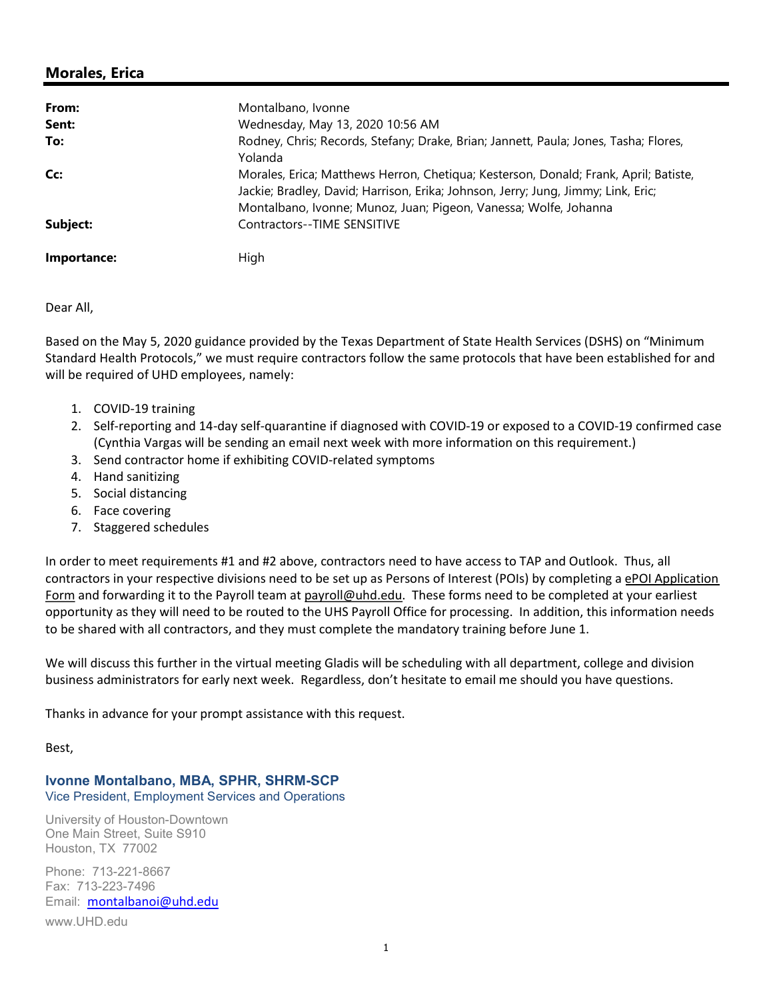# Morales, Erica

| From:       | Montalbano, Ivonne                                                                                                                                                        |
|-------------|---------------------------------------------------------------------------------------------------------------------------------------------------------------------------|
| Sent:       | Wednesday, May 13, 2020 10:56 AM                                                                                                                                          |
| To:         | Rodney, Chris; Records, Stefany; Drake, Brian; Jannett, Paula; Jones, Tasha; Flores,<br>Yolanda                                                                           |
| Cc:         | Morales, Erica; Matthews Herron, Chetiqua; Kesterson, Donald; Frank, April; Batiste,<br>Jackie; Bradley, David; Harrison, Erika; Johnson, Jerry; Jung, Jimmy; Link, Eric; |
| Subject:    | Montalbano, Ivonne; Munoz, Juan; Pigeon, Vanessa; Wolfe, Johanna<br>Contractors--TIME SENSITIVE                                                                           |
| Importance: | High                                                                                                                                                                      |

## Dear All,

Based on the May 5, 2020 guidance provided by the Texas Department of State Health Services (DSHS) on "Minimum Standard Health Protocols," we must require contractors follow the same protocols that have been established for and will be required of UHD employees, namely:

- 1. COVID-19 training
- 2. Self-reporting and 14-day self-quarantine if diagnosed with COVID-19 or exposed to a COVID-19 confirmed case (Cynthia Vargas will be sending an email next week with more information on this requirement.)
- 3. Send contractor home if exhibiting COVID-related symptoms
- 4. Hand sanitizing
- 5. Social distancing
- 6. Face covering
- 7. Staggered schedules

In order to meet requirements #1 and #2 above, contractors need to have access to TAP and Outlook. Thus, all contractors in your respective divisions need to be set up as Persons of Interest (POIs) by completing a ePOI Application Form and forwarding it to the Payroll team at payroll@uhd.edu. These forms need to be completed at your earliest opportunity as they will need to be routed to the UHS Payroll Office for processing. In addition, this information needs to be shared with all contractors, and they must complete the mandatory training before June 1.

We will discuss this further in the virtual meeting Gladis will be scheduling with all department, college and division business administrators for early next week. Regardless, don't hesitate to email me should you have questions.

Thanks in advance for your prompt assistance with this request.

#### Best,

## Ivonne Montalbano, MBA, SPHR, SHRM-SCP Vice President, Employment Services and Operations

University of Houston-Downtown One Main Street, Suite S910 Houston, TX 77002

Phone: 713-221-8667 Fax: 713-223-7496 Email: montalbanoi@uhd.edu www.UHD.edu